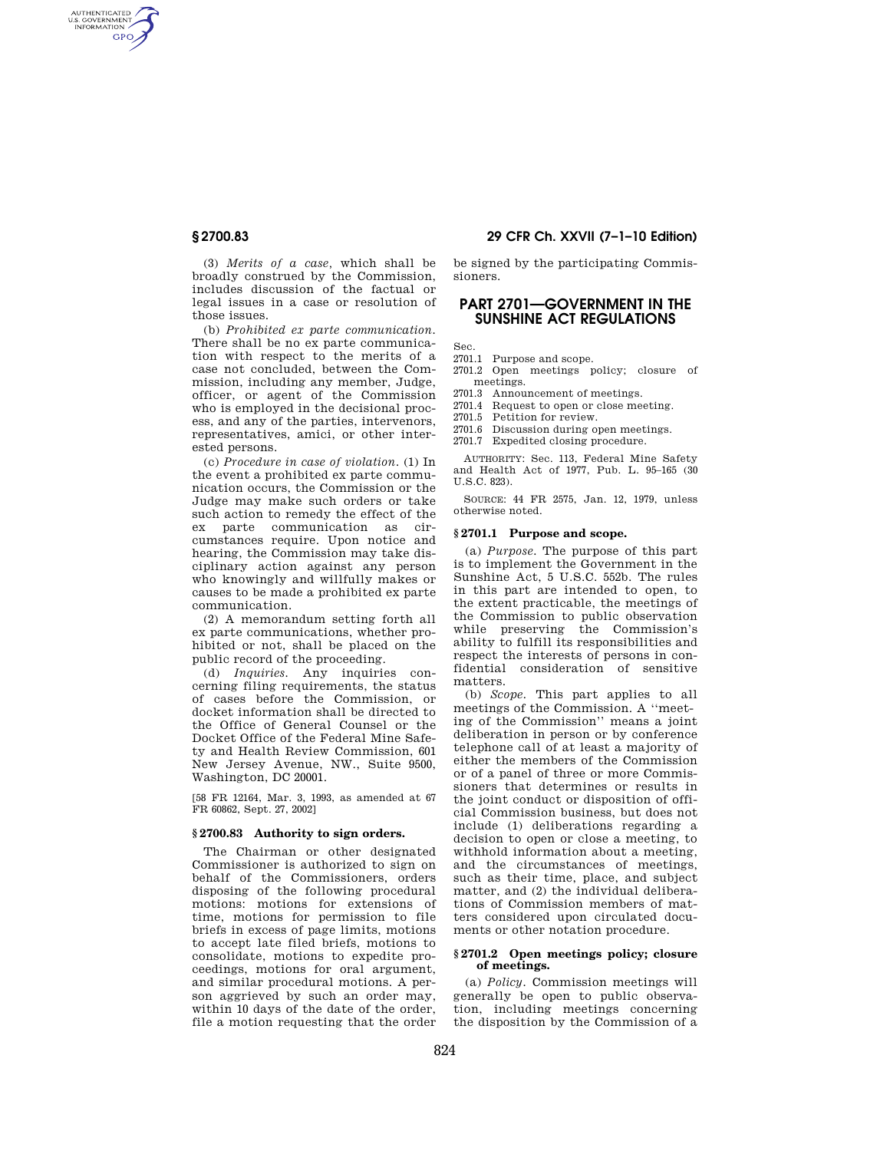AUTHENTICATED<br>U.S. GOVERNMENT<br>INFORMATION **GPO** 

> (3) *Merits of a case,* which shall be broadly construed by the Commission, includes discussion of the factual or legal issues in a case or resolution of those issues.

(b) *Prohibited ex parte communication.*  There shall be no ex parte communication with respect to the merits of a case not concluded, between the Commission, including any member, Judge, officer, or agent of the Commission who is employed in the decisional process, and any of the parties, intervenors, representatives, amici, or other interested persons.

(c) *Procedure in case of violation.* (1) In the event a prohibited ex parte communication occurs, the Commission or the Judge may make such orders or take such action to remedy the effect of the ex parte communication as circumstances require. Upon notice and hearing, the Commission may take disciplinary action against any person who knowingly and willfully makes or causes to be made a prohibited ex parte communication.

(2) A memorandum setting forth all ex parte communications, whether prohibited or not, shall be placed on the public record of the proceeding.

(d) *Inquiries.* Any inquiries concerning filing requirements, the status of cases before the Commission, or docket information shall be directed to the Office of General Counsel or the Docket Office of the Federal Mine Safety and Health Review Commission, 601 New Jersey Avenue, NW., Suite 9500, Washington, DC 20001.

[58 FR 12164, Mar. 3, 1993, as amended at 67 FR 60862, Sept. 27, 2002]

## **§ 2700.83 Authority to sign orders.**

The Chairman or other designated Commissioner is authorized to sign on behalf of the Commissioners, orders disposing of the following procedural motions: motions for extensions of time, motions for permission to file briefs in excess of page limits, motions to accept late filed briefs, motions to consolidate, motions to expedite proceedings, motions for oral argument, and similar procedural motions. A person aggrieved by such an order may, within 10 days of the date of the order, file a motion requesting that the order

# **§ 2700.83 29 CFR Ch. XXVII (7–1–10 Edition)**

be signed by the participating Commissioners.

# **PART 2701—GOVERNMENT IN THE SUNSHINE ACT REGULATIONS**

Sec.

2701.1 Purpose and scope.

- 2701.2 Open meetings policy; closure of meetings.
- 2701.3 Announcement of meetings.
- 2701.4 Request to open or close meeting.
- 2701.5 Petition for review.
- 2701.6 Discussion during open meetings.
- 2701.7 Expedited closing procedure.

AUTHORITY: Sec. 113, Federal Mine Safety and Health Act of 1977, Pub. L. 95–165 (30 U.S.C. 823).

SOURCE: 44 FR 2575, Jan. 12, 1979, unless otherwise noted.

## **§ 2701.1 Purpose and scope.**

(a) *Purpose.* The purpose of this part is to implement the Government in the Sunshine Act, 5 U.S.C. 552b. The rules in this part are intended to open, to the extent practicable, the meetings of the Commission to public observation while preserving the Commission's ability to fulfill its responsibilities and respect the interests of persons in confidential consideration of sensitive matters.

(b) *Scope.* This part applies to all meetings of the Commission. A ''meeting of the Commission'' means a joint deliberation in person or by conference telephone call of at least a majority of either the members of the Commission or of a panel of three or more Commissioners that determines or results in the joint conduct or disposition of official Commission business, but does not include (1) deliberations regarding a decision to open or close a meeting, to withhold information about a meeting, and the circumstances of meetings such as their time, place, and subject matter, and (2) the individual deliberations of Commission members of matters considered upon circulated documents or other notation procedure.

#### **§ 2701.2 Open meetings policy; closure of meetings.**

(a) *Policy.* Commission meetings will generally be open to public observation, including meetings concerning the disposition by the Commission of a